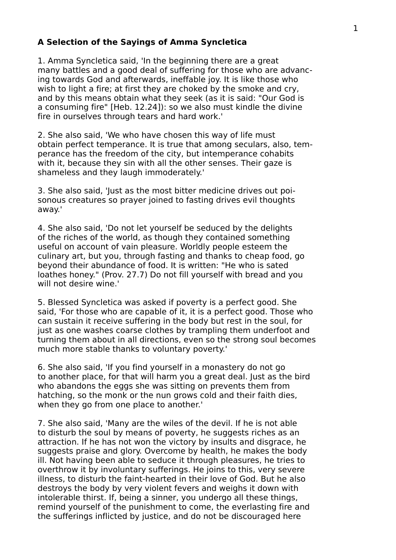## **A Selection of the Sayings of Amma Syncletica**

1. Amma Syncletica said, 'In the beginning there are a great many battles and a good deal of suffering for those who are advancing towards God and afterwards, ineffable joy. It is like those who wish to light a fire; at first they are choked by the smoke and cry, and by this means obtain what they seek (as it is said: "Our God is a consuming fire" [Heb. 12.24]): so we also must kindle the divine fire in ourselves through tears and hard work.'

2. She also said, 'We who have chosen this way of life must obtain perfect temperance. It is true that among seculars, also, temperance has the freedom of the city, but intemperance cohabits with it, because they sin with all the other senses. Their gaze is shameless and they laugh immoderately.'

3. She also said, 'Just as the most bitter medicine drives out poisonous creatures so prayer joined to fasting drives evil thoughts away.'

4. She also said, 'Do not let yourself be seduced by the delights of the riches of the world, as though they contained something useful on account of vain pleasure. Worldly people esteem the culinary art, but you, through fasting and thanks to cheap food, go beyond their abundance of food. It is written: "He who is sated loathes honey." (Prov. 27.7) Do not fill yourself with bread and you will not desire wine.'

5. Blessed Syncletica was asked if poverty is a perfect good. She said, 'For those who are capable of it, it is a perfect good. Those who can sustain it receive suffering in the body but rest in the soul, for just as one washes coarse clothes by trampling them underfoot and turning them about in all directions, even so the strong soul becomes much more stable thanks to voluntary poverty.'

6. She also said, 'If you find yourself in a monastery do not go to another place, for that will harm you a great deal. Just as the bird who abandons the eggs she was sitting on prevents them from hatching, so the monk or the nun grows cold and their faith dies, when they go from one place to another.'

7. She also said, 'Many are the wiles of the devil. If he is not able to disturb the soul by means of poverty, he suggests riches as an attraction. If he has not won the victory by insults and disgrace, he suggests praise and glory. Overcome by health, he makes the body ill. Not having been able to seduce it through pleasures, he tries to overthrow it by involuntary sufferings. He joins to this, very severe illness, to disturb the faint-hearted in their love of God. But he also destroys the body by very violent fevers and weighs it down with intolerable thirst. If, being a sinner, you undergo all these things, remind yourself of the punishment to come, the everlasting fire and the sufferings inflicted by justice, and do not be discouraged here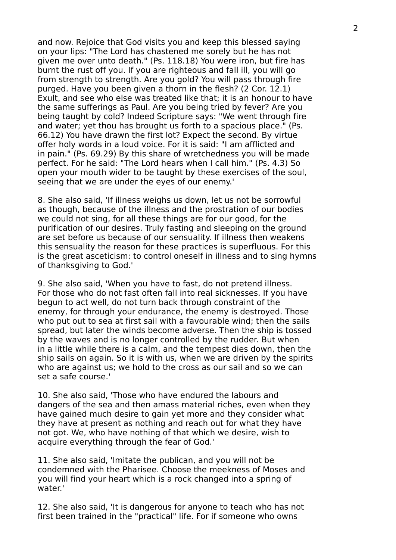and now. Rejoice that God visits you and keep this blessed saying on your lips: "The Lord has chastened me sorely but he has not given me over unto death." (Ps. 118.18) You were iron, but fire has burnt the rust off you. If you are righteous and fall ill, you will go from strength to strength. Are you gold? You will pass through fire purged. Have you been given a thorn in the flesh? (2 Cor. 12.1) Exult, and see who else was treated like that; it is an honour to have the same sufferings as Paul. Are you being tried by fever? Are you being taught by cold? Indeed Scripture says: "We went through fire and water; yet thou has brought us forth to a spacious place." (Ps. 66.12) You have drawn the first lot? Expect the second. By virtue offer holy words in a loud voice. For it is said: "I am afflicted and in pain." (Ps. 69.29) By this share of wretchedness you will be made perfect. For he said: "The Lord hears when I call him." (Ps. 4.3) So open your mouth wider to be taught by these exercises of the soul, seeing that we are under the eyes of our enemy.'

8. She also said, 'If illness weighs us down, let us not be sorrowful as though, because of the illness and the prostration of our bodies we could not sing, for all these things are for our good, for the purification of our desires. Truly fasting and sleeping on the ground are set before us because of our sensuality. If illness then weakens this sensuality the reason for these practices is superfluous. For this is the great asceticism: to control oneself in illness and to sing hymns of thanksgiving to God.'

9. She also said, 'When you have to fast, do not pretend illness. For those who do not fast often fall into real sicknesses. If you have begun to act well, do not turn back through constraint of the enemy, for through your endurance, the enemy is destroyed. Those who put out to sea at first sail with a favourable wind; then the sails spread, but later the winds become adverse. Then the ship is tossed by the waves and is no longer controlled by the rudder. But when in a little while there is a calm, and the tempest dies down, then the ship sails on again. So it is with us, when we are driven by the spirits who are against us; we hold to the cross as our sail and so we can set a safe course.'

10. She also said, 'Those who have endured the labours and dangers of the sea and then amass material riches, even when they have gained much desire to gain yet more and they consider what they have at present as nothing and reach out for what they have not got. We, who have nothing of that which we desire, wish to acquire everything through the fear of God.'

11. She also said, 'Imitate the publican, and you will not be condemned with the Pharisee. Choose the meekness of Moses and you will find your heart which is a rock changed into a spring of water.'

12. She also said, 'It is dangerous for anyone to teach who has not first been trained in the "practical" life. For if someone who owns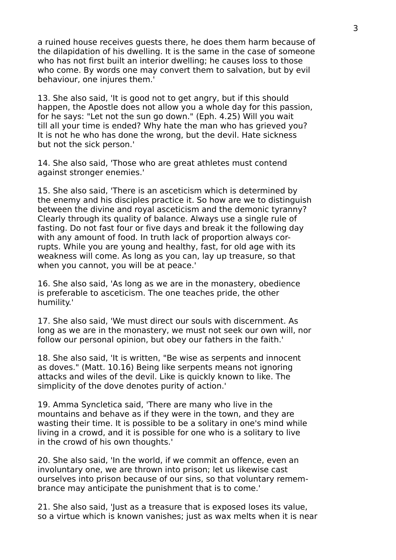a ruined house receives guests there, he does them harm because of the dilapidation of his dwelling. It is the same in the case of someone who has not first built an interior dwelling; he causes loss to those who come. By words one may convert them to salvation, but by evil behaviour, one injures them.'

13. She also said, 'It is good not to get angry, but if this should happen, the Apostle does not allow you a whole day for this passion, for he says: "Let not the sun go down." (Eph. 4.25) Will you wait till all your time is ended? Why hate the man who has grieved you? It is not he who has done the wrong, but the devil. Hate sickness but not the sick person.'

14. She also said, 'Those who are great athletes must contend against stronger enemies.'

15. She also said, 'There is an asceticism which is determined by the enemy and his disciples practice it. So how are we to distinguish between the divine and royal asceticism and the demonic tyranny? Clearly through its quality of balance. Always use a single rule of fasting. Do not fast four or five days and break it the following day with any amount of food. In truth lack of proportion always corrupts. While you are young and healthy, fast, for old age with its weakness will come. As long as you can, lay up treasure, so that when you cannot, you will be at peace.'

16. She also said, 'As long as we are in the monastery, obedience is preferable to asceticism. The one teaches pride, the other humility.'

17. She also said, 'We must direct our souls with discernment. As long as we are in the monastery, we must not seek our own will, nor follow our personal opinion, but obey our fathers in the faith.'

18. She also said, 'It is written, "Be wise as serpents and innocent as doves." (Matt. 10.16) Being like serpents means not ignoring attacks and wiles of the devil. Like is quickly known to like. The simplicity of the dove denotes purity of action.'

19. Amma Syncletica said, 'There are many who live in the mountains and behave as if they were in the town, and they are wasting their time. It is possible to be a solitary in one's mind while living in a crowd, and it is possible for one who is a solitary to live in the crowd of his own thoughts.'

20. She also said, 'In the world, if we commit an offence, even an involuntary one, we are thrown into prison; let us likewise cast ourselves into prison because of our sins, so that voluntary remembrance may anticipate the punishment that is to come.'

21. She also said, 'Just as a treasure that is exposed loses its value, so a virtue which is known vanishes; just as wax melts when it is near